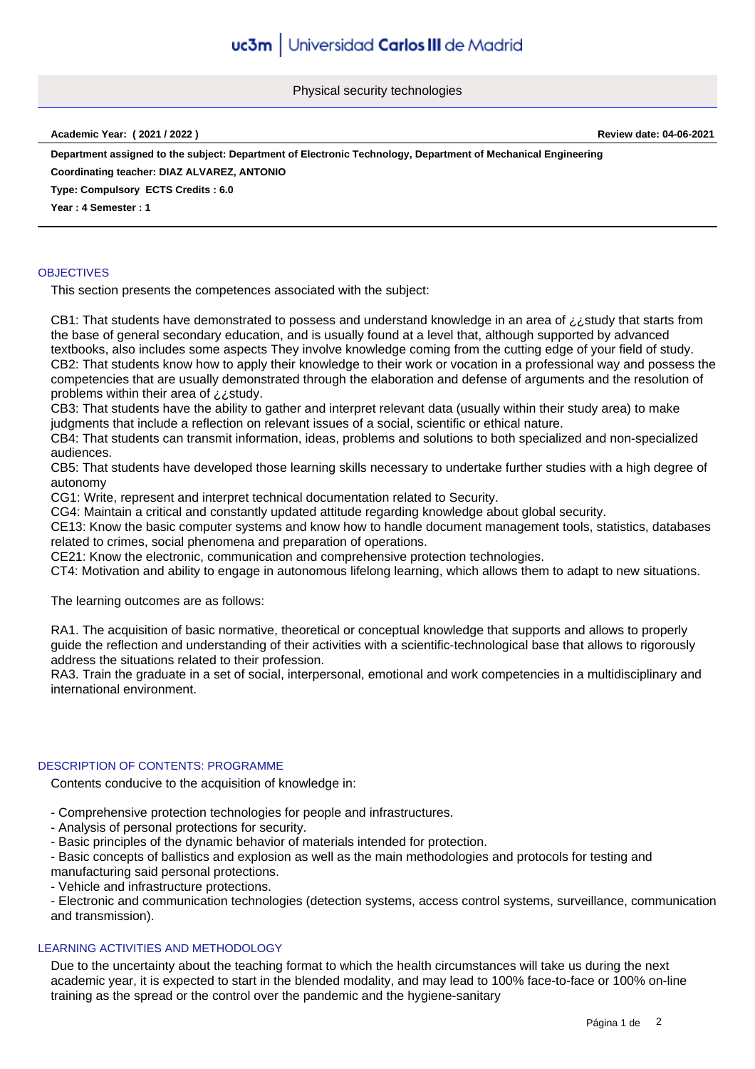Physical security technologies

**Academic Year: ( 2021 / 2022 ) Review date: 04-06-2021**

**Department assigned to the subject: Department of Electronic Technology, Department of Mechanical Engineering**

**Coordinating teacher: DIAZ ALVAREZ, ANTONIO**

**Type: Compulsory ECTS Credits : 6.0**

**Year : 4 Semester : 1**

# **OBJECTIVES**

This section presents the competences associated with the subject:

CB1: That students have demonstrated to possess and understand knowledge in an area of ¿¿study that starts from the base of general secondary education, and is usually found at a level that, although supported by advanced textbooks, also includes some aspects They involve knowledge coming from the cutting edge of your field of study. CB2: That students know how to apply their knowledge to their work or vocation in a professional way and possess the competencies that are usually demonstrated through the elaboration and defense of arguments and the resolution of problems within their area of ¿¿study.

CB3: That students have the ability to gather and interpret relevant data (usually within their study area) to make judgments that include a reflection on relevant issues of a social, scientific or ethical nature.

CB4: That students can transmit information, ideas, problems and solutions to both specialized and non-specialized audiences.

CB5: That students have developed those learning skills necessary to undertake further studies with a high degree of autonomy

CG1: Write, represent and interpret technical documentation related to Security.

CG4: Maintain a critical and constantly updated attitude regarding knowledge about global security.

CE13: Know the basic computer systems and know how to handle document management tools, statistics, databases related to crimes, social phenomena and preparation of operations.

CE21: Know the electronic, communication and comprehensive protection technologies.

CT4: Motivation and ability to engage in autonomous lifelong learning, which allows them to adapt to new situations.

The learning outcomes are as follows:

RA1. The acquisition of basic normative, theoretical or conceptual knowledge that supports and allows to properly guide the reflection and understanding of their activities with a scientific-technological base that allows to rigorously address the situations related to their profession.

RA3. Train the graduate in a set of social, interpersonal, emotional and work competencies in a multidisciplinary and international environment.

# DESCRIPTION OF CONTENTS: PROGRAMME

Contents conducive to the acquisition of knowledge in:

- Comprehensive protection technologies for people and infrastructures.
- Analysis of personal protections for security.
- Basic principles of the dynamic behavior of materials intended for protection.
- Basic concepts of ballistics and explosion as well as the main methodologies and protocols for testing and manufacturing said personal protections.
- Vehicle and infrastructure protections.

- Electronic and communication technologies (detection systems, access control systems, surveillance, communication and transmission).

# LEARNING ACTIVITIES AND METHODOLOGY

Due to the uncertainty about the teaching format to which the health circumstances will take us during the next academic year, it is expected to start in the blended modality, and may lead to 100% face-to-face or 100% on-line training as the spread or the control over the pandemic and the hygiene-sanitary